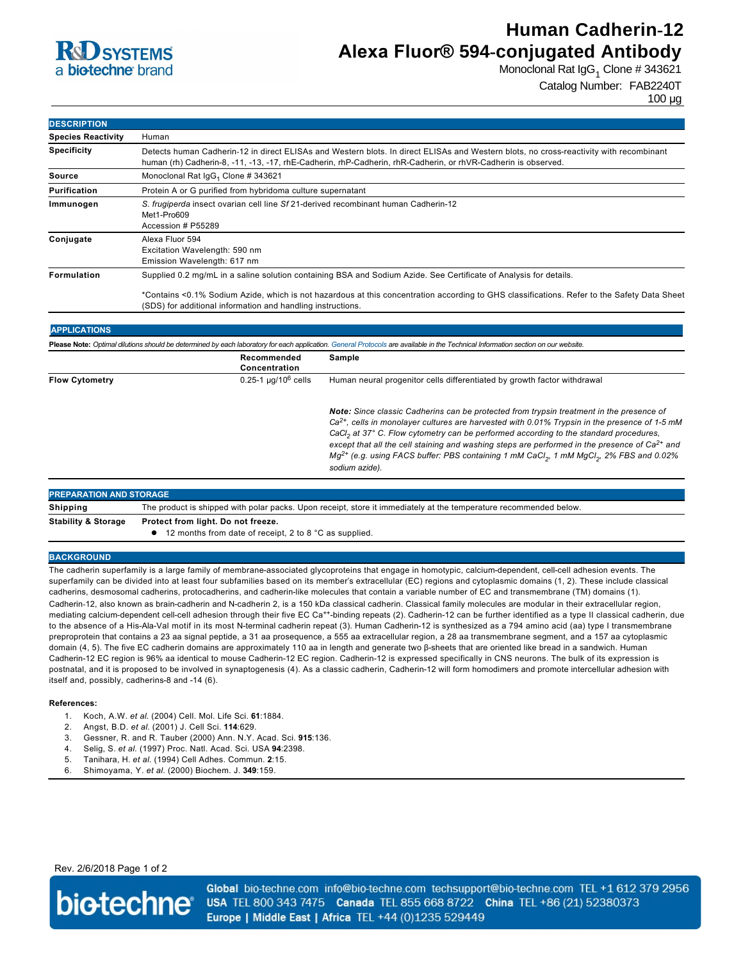

# **Human Cadherin-12 Alexa Fluor® 594-conjugated Antibody**

Monoclonal Rat IgG<sub>1</sub> Clone # 343621

Catalog Number: FAB2240T

100 µg

| Human                                                                                                                                                                                                                                                   |
|---------------------------------------------------------------------------------------------------------------------------------------------------------------------------------------------------------------------------------------------------------|
| Detects human Cadherin-12 in direct ELISAs and Western blots. In direct ELISAs and Western blots, no cross-reactivity with recombinant<br>human (rh) Cadherin-8, -11, -13, -17, rhE-Cadherin, rhP-Cadherin, rhR-Cadherin, or rhVR-Cadherin is observed. |
| Monoclonal Rat $\lg G_1$ Clone # 343621                                                                                                                                                                                                                 |
| Protein A or G purified from hybridoma culture supernatant                                                                                                                                                                                              |
| S. frugiperda insect ovarian cell line Sf 21-derived recombinant human Cadherin-12<br>Met1-Pro609<br>Accession # P55289                                                                                                                                 |
| Alexa Fluor 594<br>Excitation Wavelength: 590 nm<br>Emission Wavelength: 617 nm                                                                                                                                                                         |
| Supplied 0.2 mg/mL in a saline solution containing BSA and Sodium Azide. See Certificate of Analysis for details.                                                                                                                                       |
| *Contains <0.1% Sodium Azide, which is not hazardous at this concentration according to GHS classifications. Refer to the Safety Data Sheet                                                                                                             |
|                                                                                                                                                                                                                                                         |

| Please Note: Optimal dilutions should be determined by each laboratory for each application. General Protocols are available in the Technical Information section on our website. |                              |                                                                                                                                                                                                                                                                                                                                                                                                                                                                                                                                                         |
|-----------------------------------------------------------------------------------------------------------------------------------------------------------------------------------|------------------------------|---------------------------------------------------------------------------------------------------------------------------------------------------------------------------------------------------------------------------------------------------------------------------------------------------------------------------------------------------------------------------------------------------------------------------------------------------------------------------------------------------------------------------------------------------------|
|                                                                                                                                                                                   | Recommended<br>Concentration | Sample                                                                                                                                                                                                                                                                                                                                                                                                                                                                                                                                                  |
| <b>Flow Cytometry</b>                                                                                                                                                             | $0.25 - 1 \mu q/10^6$ cells  | Human neural progenitor cells differentiated by growth factor withdrawal                                                                                                                                                                                                                                                                                                                                                                                                                                                                                |
|                                                                                                                                                                                   |                              | Note: Since classic Cadherins can be protected from trypsin treatment in the presence of<br>$Ca2+$ , cells in monolayer cultures are harvested with 0.01% Trypsin in the presence of 1-5 mM<br>CaCl <sub>2</sub> at 37° C. Flow cytometry can be performed according to the standard procedures,<br>except that all the cell staining and washing steps are performed in the presence of $Ca^{2+}$ and<br>Mg <sup>2+</sup> (e.g. using FACS buffer: PBS containing 1 mM CaCl <sub>2</sub> , 1 mM MgCl <sub>2</sub> , 2% FBS and 0.02%<br>sodium azide). |

| <b>PREPARATION AND STORAGE</b> |                                                                                                                   |  |  |
|--------------------------------|-------------------------------------------------------------------------------------------------------------------|--|--|
| Shipping                       | The product is shipped with polar packs. Upon receipt, store it immediately at the temperature recommended below. |  |  |
| <b>Stability &amp; Storage</b> | Protect from light. Do not freeze.                                                                                |  |  |
|                                | 12 months from date of receipt, 2 to 8 °C as supplied.                                                            |  |  |

#### **BACKGROUND**

The cadherin superfamily is a large family of membrane-associated glycoproteins that engage in homotypic, calcium-dependent, cell-cell adhesion events. The superfamily can be divided into at least four subfamilies based on its member's extracellular (EC) regions and cytoplasmic domains (1, 2). These include classical cadherins, desmosomal cadherins, protocadherins, and cadherin-like molecules that contain a variable number of EC and transmembrane (TM) domains (1). Cadherin-12, also known as brain-cadherin and N-cadherin 2, is a 150 kDa classical cadherin. Classical family molecules are modular in their extracellular region, mediating calcium-dependent cell-cell adhesion through their five EC Ca<sup>++</sup>-binding repeats (2). Cadherin-12 can be further identified as a type II classical cadherin, due to the absence of a His-Ala-Val motif in its most N-terminal cadherin repeat (3). Human Cadherin-12 is synthesized as a 794 amino acid (aa) type I transmembrane preproprotein that contains a 23 aa signal peptide, a 31 aa prosequence, a 555 aa extracellular region, a 28 aa transmembrane segment, and a 157 aa cytoplasmic domain (4, 5). The five EC cadherin domains are approximately 110 aa in length and generate two βsheets that are oriented like bread in a sandwich. Human Cadherin-12 EC region is 96% aa identical to mouse Cadherin-12 EC region. Cadherin-12 is expressed specifically in CNS neurons. The bulk of its expression is postnatal, and it is proposed to be involved in synaptogenesis (4). As a classic cadherin, Cadherin-12 will form homodimers and promote intercellular adhesion with itself and, possibly, cadherins-8 and -14 (6).

#### **References:**

- 1. Koch, A.W. *et al*. (2004) Cell. Mol. Life Sci. **61**:1884.
- 2. Angst, B.D. *et al*. (2001) J. Cell Sci. **114**:629.
- 3. Gessner, R. and R. Tauber (2000) Ann. N.Y. Acad. Sci. **915**:136.
- 4. Selig, S. *et al*. (1997) Proc. Natl. Acad. Sci. USA **94**:2398.
- 5. Tanihara, H. *et al*. (1994) Cell Adhes. Commun. **2**:15.
- 6. Shimoyama, Y. *et al*. (2000) Biochem. J. **349**:159.

Rev. 2/6/2018 Page 1 of 2



Global bio-techne.com info@bio-techne.com techsupport@bio-techne.com TEL +1 612 379 2956 USA TEL 800 343 7475 Canada TEL 855 668 8722 China TEL +86 (21) 52380373 Europe | Middle East | Africa TEL +44 (0)1235 529449